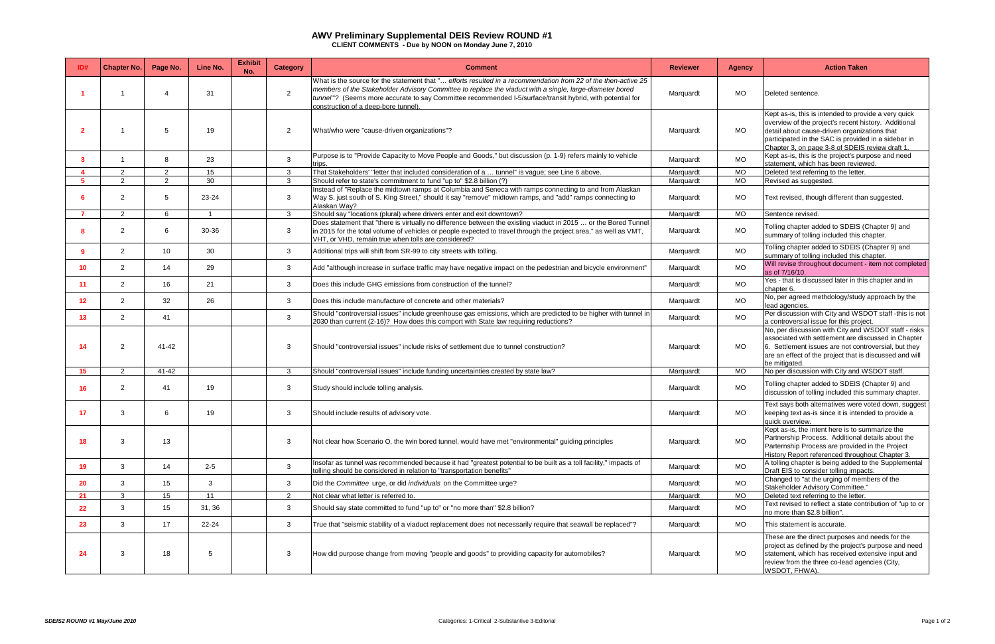|              | <b>Chapter No.</b>   | Page No.        | Line No. | <b>Exhibit</b><br>No. | <b>Category</b> | <b>Comment</b>                                                                                                                                                                                                                                                                                                                                                                  | <b>Reviewer</b> | <b>Agency</b>  | <b>Action Taken</b>                                                                                                                                                                                                                                                    |
|--------------|----------------------|-----------------|----------|-----------------------|-----------------|---------------------------------------------------------------------------------------------------------------------------------------------------------------------------------------------------------------------------------------------------------------------------------------------------------------------------------------------------------------------------------|-----------------|----------------|------------------------------------------------------------------------------------------------------------------------------------------------------------------------------------------------------------------------------------------------------------------------|
|              |                      |                 | 31       |                       | 2               | What is the source for the statement that " efforts resulted in a recommendation from 22 of the then-active 25<br>members of the Stakeholder Advisory Committee to replace the viaduct with a single, large-diameter bored<br>tunnel"? (Seems more accurate to say Committee recommended I-5/surface/transit hybrid, with potential for<br>construction of a deep-bore tunnel). | Marquardt       | MO             | Deleted sentence.                                                                                                                                                                                                                                                      |
| $\mathbf{z}$ |                      | .5              | 19       |                       | $\overline{2}$  | What/who were "cause-driven organizations"?                                                                                                                                                                                                                                                                                                                                     | Marquardt       | <b>MO</b>      | Kept as-is, this is intended to provide a very quick<br>overview of the project's recent history. Additional<br>detail about cause-driven organizations that<br>participated in the SAC is provided in a sidebar in<br>Chapter 3, on page 3-8 of SDEIS review draft 1. |
| 3            |                      | 8               | 23       |                       | $\mathbf{3}$    | Purpose is to "Provide Capacity to Move People and Goods," but discussion (p. 1-9) refers mainly to vehicle<br>trips.                                                                                                                                                                                                                                                           | Marquardt       | <b>MO</b>      | Kept as-is, this is the project's purpose and need<br>statement, which has been reviewed.                                                                                                                                                                              |
|              | 2                    | $\mathcal{P}$   | 15       |                       | 3               | That Stakeholders' "letter that included consideration of a  tunnel" is vague; see Line 6 above.                                                                                                                                                                                                                                                                                | Marquardt       | <b>MO</b>      | Deleted text referring to the letter.                                                                                                                                                                                                                                  |
|              | $\overline{2}$       | $\overline{2}$  | 30       |                       | $\mathbf{3}$    | Should refer to state's commitment to fund "up to" \$2.8 billion (?)                                                                                                                                                                                                                                                                                                            | Marquardt       | M <sub>O</sub> | Revised as suggested.                                                                                                                                                                                                                                                  |
|              | 2                    |                 | 23-24    |                       | 3               | Instead of "Replace the midtown ramps at Columbia and Seneca with ramps connecting to and from Alaskan<br>Way S. just south of S. King Street," should it say "remove" midtown ramps, and "add" ramps connecting to<br>Alaskan Way?                                                                                                                                             | Marquardt       | MO             | Text revised, though different than suggested.                                                                                                                                                                                                                         |
|              | $\mathbf{2}$         | 6               | -1       |                       | $\mathbf{3}$    | Should say "locations (plural) where drivers enter and exit downtown?                                                                                                                                                                                                                                                                                                           | Marquardt       | MO             | Sentence revised.                                                                                                                                                                                                                                                      |
|              | 2                    | 6               | 30-36    |                       | 3               | Does statement that "there is virtually no difference between the existing viaduct in 2015  or the Bored Tunnel<br>in 2015 for the total volume of vehicles or people expected to travel through the project area," as well as VMT,<br>VHT, or VHD, remain true when tolls are considered?                                                                                      | Marquardt       | <b>MO</b>      | Tolling chapter added to SDEIS (Chapter 9) and<br>summary of tolling included this chapter.                                                                                                                                                                            |
| ۰q           | 2                    | 10 <sup>1</sup> | 30       |                       | $\mathbf{3}$    | Additional trips will shift from SR-99 to city streets with tolling.                                                                                                                                                                                                                                                                                                            | Marguardt       | <b>MO</b>      | Tolling chapter added to SDEIS (Chapter 9) and<br>summary of tolling included this chapter.                                                                                                                                                                            |
| 10           | $\mathbf{2}^{\circ}$ | 14              | 29       |                       | 3               | Add "although increase in surface traffic may have negative impact on the pedestrian and bicycle environment"                                                                                                                                                                                                                                                                   | Marquardt       | MO             | Will revise throughout document - item not completed<br>as of 7/16/10.                                                                                                                                                                                                 |
| 11           | $\mathbf{2}^{\circ}$ | 16              | 21       |                       | 3               | Does this include GHG emissions from construction of the tunnel?                                                                                                                                                                                                                                                                                                                | Marquardt       | <b>MO</b>      | Yes - that is discussed later in this chapter and in<br>chapter 6.                                                                                                                                                                                                     |
| 12           | $\mathbf{2}$         | 32              | 26       |                       | 3               | Does this include manufacture of concrete and other materials?                                                                                                                                                                                                                                                                                                                  | Marquardt       | MO             | No, per agreed methdology/study approach by the<br>lead agencies.                                                                                                                                                                                                      |
| 13           | $\overline{2}$       | 41              |          |                       | 3               | Should "controversial issues" include greenhouse gas emissions, which are predicted to be higher with tunnel in<br>2030 than current (2-16)? How does this comport with State law requiring reductions?                                                                                                                                                                         | Marquardt       | <b>MO</b>      | Per discussion with City and WSDOT staff -this is not<br>a controversial issue for this project.                                                                                                                                                                       |
| 14           | 2                    | 41-42           |          |                       | 3               | Should "controversial issues" include risks of settlement due to tunnel construction?                                                                                                                                                                                                                                                                                           | Marquardt       | MO             | No, per discussion with City and WSDOT staff - risks<br>associated with settlement are discussed in Chapter<br>6. Settlement issues are not controversial, but they<br>are an effect of the project that is discussed and will<br>be mitigated.                        |
| 15           | $\overline{2}$       | 41-42           |          |                       | $\mathbf{3}$    | Should "controversial issues" include funding uncertainties created by state law?                                                                                                                                                                                                                                                                                               | Marguardt       | <b>MO</b>      | No per discussion with City and WSDOT staff.                                                                                                                                                                                                                           |
| 16           | 2                    | -41             | 19       |                       | 3               | Study should include tolling analysis.                                                                                                                                                                                                                                                                                                                                          | Marquardt       | <b>MO</b>      | Tolling chapter added to SDEIS (Chapter 9) and<br>discussion of tolling included this summary chapter.                                                                                                                                                                 |
| 17           | 3                    |                 | 19       |                       | 3               | Should include results of advisory vote.                                                                                                                                                                                                                                                                                                                                        | Marquardt       | MO             | Text says both alternatives were voted down, suggest<br>keeping text as-is since it is intended to provide a<br>quick overview.                                                                                                                                        |
| 18           | 3                    | 13              |          |                       | 3               | Not clear how Scenario O, the twin bored tunnel, would have met "environmental" guiding principles                                                                                                                                                                                                                                                                              | Marquardt       | <b>MO</b>      | Kept as-is, the intent here is to summarize the<br>Partnership Process. Additional details about the<br>Parternship Process are provided in the Project<br>History Report referenced throughout Chapter 3.                                                             |
| 19           | 3                    | 14              | $2 - 5$  |                       | $\mathbf{3}$    | Insofar as tunnel was recommended because it had "greatest potential to be built as a toll facility," impacts of<br>tolling should be considered in relation to "transportation benefits"                                                                                                                                                                                       | Marquardt       | <b>MO</b>      | A tolling chapter is being added to the Supplemental<br>Draft EIS to consider tolling impacts.                                                                                                                                                                         |
| 20           | 3                    | 15              | 3        |                       | $\mathbf{3}$    | Did the Committee urge, or did individuals on the Committee urge?                                                                                                                                                                                                                                                                                                               | Marquardt       | MO             | Changed to "at the urging of members of the<br>Stakeholder Advisory Committee."                                                                                                                                                                                        |
| 21           | 3                    | 15              | 11       |                       | 2               | Not clear what letter is referred to.                                                                                                                                                                                                                                                                                                                                           | Marquardt       | MO             | Deleted text referring to the letter.                                                                                                                                                                                                                                  |
| 22           | 3                    | 15              | 31, 36   |                       | $\mathbf{3}$    | Should say state committed to fund "up to" or "no more than" \$2.8 billion?                                                                                                                                                                                                                                                                                                     | Marquardt       | <b>MO</b>      | Text revised to reflect a state contribution of "up to or<br>no more than \$2.8 billion".                                                                                                                                                                              |
| 23           | 3                    | 17              | 22-24    |                       | $\mathbf{3}$    | True that "seismic stability of a viaduct replacement does not necessarily require that seawall be replaced"?                                                                                                                                                                                                                                                                   | Marquardt       | MO             | This statement is accurate.                                                                                                                                                                                                                                            |
| -24          | 3                    | 18              | -5       |                       | 3               | How did purpose change from moving "people and goods" to providing capacity for automobiles?                                                                                                                                                                                                                                                                                    | Marquardt       | MO             | These are the direct purposes and needs for the<br>project as defined by the project's purpose and need<br>statement, which has received extensive input and<br>review from the three co-lead agencies (City,<br>WSDOT, FHWA).                                         |

## **AWV Preliminary Supplemental DEIS Review ROUND #1**

**CLIENT COMMENTS - Due by NOON on Monday June 7, 2010**